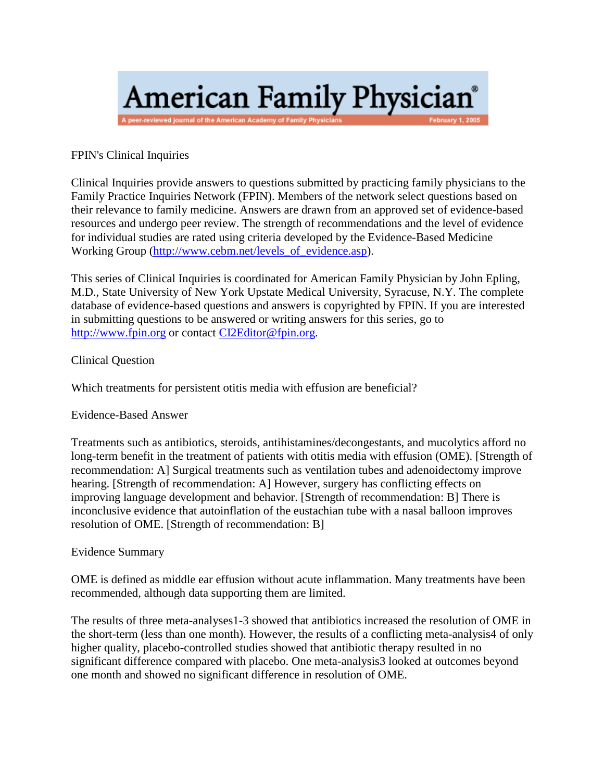# American Family Physician® A peer-reviewed journal of the American Academy of Family Physi

## FPIN's Clinical Inquiries

Clinical Inquiries provide answers to questions submitted by practicing family physicians to the Family Practice Inquiries Network (FPIN). Members of the network select questions based on their relevance to family medicine. Answers are drawn from an approved set of evidence-based resources and undergo peer review. The strength of recommendations and the level of evidence for individual studies are rated using criteria developed by the Evidence-Based Medicine Working Group [\(http://www.cebm.net/levels\\_of\\_evidence.asp\)](http://www.cebm.net/levels_of_evidence.asp).

This series of Clinical Inquiries is coordinated for American Family Physician by John Epling, M.D., State University of New York Upstate Medical University, Syracuse, N.Y. The complete database of evidence-based questions and answers is copyrighted by FPIN. If you are interested in submitting questions to be answered or writing answers for this series, go to [http://www.fpin.org](http://www.fpin.org/) or contac[t CI2Editor@fpin.org.](mailto:CI2Editor@fpin.org)

### Clinical Question

Which treatments for persistent otitis media with effusion are beneficial?

### Evidence-Based Answer

Treatments such as antibiotics, steroids, antihistamines/decongestants, and mucolytics afford no long-term benefit in the treatment of patients with otitis media with effusion (OME). [Strength of recommendation: A] Surgical treatments such as ventilation tubes and adenoidectomy improve hearing. [Strength of recommendation: A] However, surgery has conflicting effects on improving language development and behavior. [Strength of recommendation: B] There is inconclusive evidence that autoinflation of the eustachian tube with a nasal balloon improves resolution of OME. [Strength of recommendation: B]

### Evidence Summary

OME is defined as middle ear effusion without acute inflammation. Many treatments have been recommended, although data supporting them are limited.

The results of three meta-analyses1-3 showed that antibiotics increased the resolution of OME in the short-term (less than one month). However, the results of a conflicting meta-analysis4 of only higher quality, placebo-controlled studies showed that antibiotic therapy resulted in no significant difference compared with placebo. One meta-analysis3 looked at outcomes beyond one month and showed no significant difference in resolution of OME.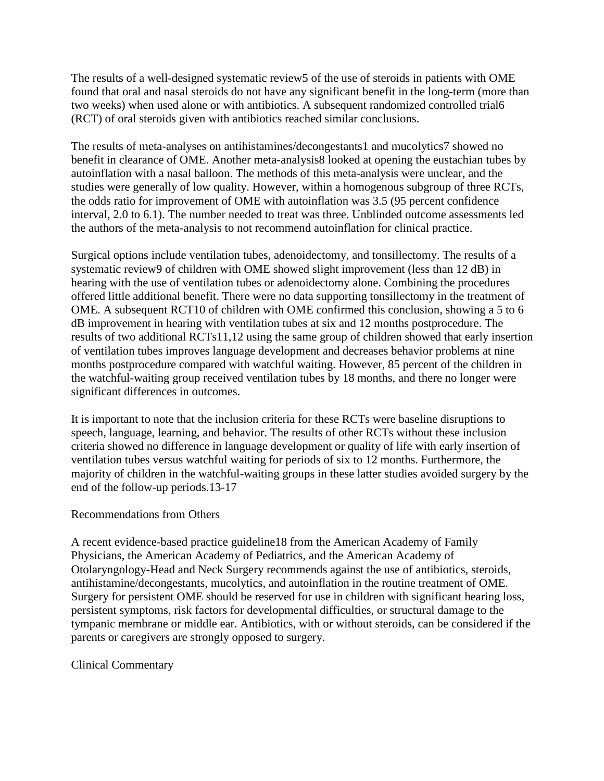The results of a well-designed systematic review5 of the use of steroids in patients with OME found that oral and nasal steroids do not have any significant benefit in the long-term (more than two weeks) when used alone or with antibiotics. A subsequent randomized controlled trial6 (RCT) of oral steroids given with antibiotics reached similar conclusions.

The results of meta-analyses on antihistamines/decongestants1 and mucolytics7 showed no benefit in clearance of OME. Another meta-analysis8 looked at opening the eustachian tubes by autoinflation with a nasal balloon. The methods of this meta-analysis were unclear, and the studies were generally of low quality. However, within a homogenous subgroup of three RCTs, the odds ratio for improvement of OME with autoinflation was 3.5 (95 percent confidence interval, 2.0 to 6.1). The number needed to treat was three. Unblinded outcome assessments led the authors of the meta-analysis to not recommend autoinflation for clinical practice.

Surgical options include ventilation tubes, adenoidectomy, and tonsillectomy. The results of a systematic review9 of children with OME showed slight improvement (less than 12 dB) in hearing with the use of ventilation tubes or adenoidectomy alone. Combining the procedures offered little additional benefit. There were no data supporting tonsillectomy in the treatment of OME. A subsequent RCT10 of children with OME confirmed this conclusion, showing a 5 to 6 dB improvement in hearing with ventilation tubes at six and 12 months postprocedure. The results of two additional RCTs11,12 using the same group of children showed that early insertion of ventilation tubes improves language development and decreases behavior problems at nine months postprocedure compared with watchful waiting. However, 85 percent of the children in the watchful-waiting group received ventilation tubes by 18 months, and there no longer were significant differences in outcomes.

It is important to note that the inclusion criteria for these RCTs were baseline disruptions to speech, language, learning, and behavior. The results of other RCTs without these inclusion criteria showed no difference in language development or quality of life with early insertion of ventilation tubes versus watchful waiting for periods of six to 12 months. Furthermore, the majority of children in the watchful-waiting groups in these latter studies avoided surgery by the end of the follow-up periods.13-17

### Recommendations from Others

A recent evidence-based practice guideline18 from the American Academy of Family Physicians, the American Academy of Pediatrics, and the American Academy of Otolaryngology-Head and Neck Surgery recommends against the use of antibiotics, steroids, antihistamine/decongestants, mucolytics, and autoinflation in the routine treatment of OME. Surgery for persistent OME should be reserved for use in children with significant hearing loss, persistent symptoms, risk factors for developmental difficulties, or structural damage to the tympanic membrane or middle ear. Antibiotics, with or without steroids, can be considered if the parents or caregivers are strongly opposed to surgery.

### Clinical Commentary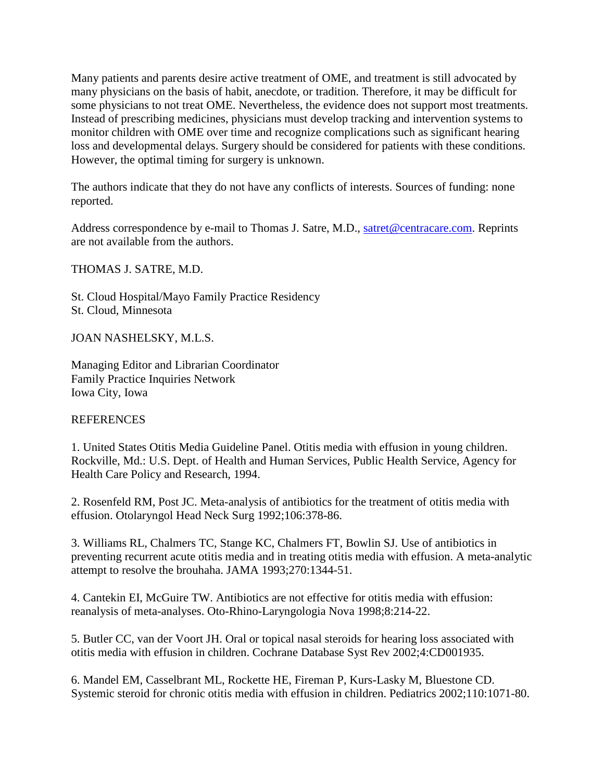Many patients and parents desire active treatment of OME, and treatment is still advocated by many physicians on the basis of habit, anecdote, or tradition. Therefore, it may be difficult for some physicians to not treat OME. Nevertheless, the evidence does not support most treatments. Instead of prescribing medicines, physicians must develop tracking and intervention systems to monitor children with OME over time and recognize complications such as significant hearing loss and developmental delays. Surgery should be considered for patients with these conditions. However, the optimal timing for surgery is unknown.

The authors indicate that they do not have any conflicts of interests. Sources of funding: none reported.

Address correspondence by e-mail to Thomas J. Satre, M.D., [satret@centracare.com.](mailto:satret@centracare.com) Reprints are not available from the authors.

THOMAS J. SATRE, M.D.

St. Cloud Hospital/Mayo Family Practice Residency St. Cloud, Minnesota

JOAN NASHELSKY, M.L.S.

Managing Editor and Librarian Coordinator Family Practice Inquiries Network Iowa City, Iowa

#### REFERENCES

1. United States Otitis Media Guideline Panel. Otitis media with effusion in young children. Rockville, Md.: U.S. Dept. of Health and Human Services, Public Health Service, Agency for Health Care Policy and Research, 1994.

2. Rosenfeld RM, Post JC. Meta-analysis of antibiotics for the treatment of otitis media with effusion. Otolaryngol Head Neck Surg 1992;106:378-86.

3. Williams RL, Chalmers TC, Stange KC, Chalmers FT, Bowlin SJ. Use of antibiotics in preventing recurrent acute otitis media and in treating otitis media with effusion. A meta-analytic attempt to resolve the brouhaha. JAMA 1993;270:1344-51.

4. Cantekin EI, McGuire TW. Antibiotics are not effective for otitis media with effusion: reanalysis of meta-analyses. Oto-Rhino-Laryngologia Nova 1998;8:214-22.

5. Butler CC, van der Voort JH. Oral or topical nasal steroids for hearing loss associated with otitis media with effusion in children. Cochrane Database Syst Rev 2002;4:CD001935.

6. Mandel EM, Casselbrant ML, Rockette HE, Fireman P, Kurs-Lasky M, Bluestone CD. Systemic steroid for chronic otitis media with effusion in children. Pediatrics 2002;110:1071-80.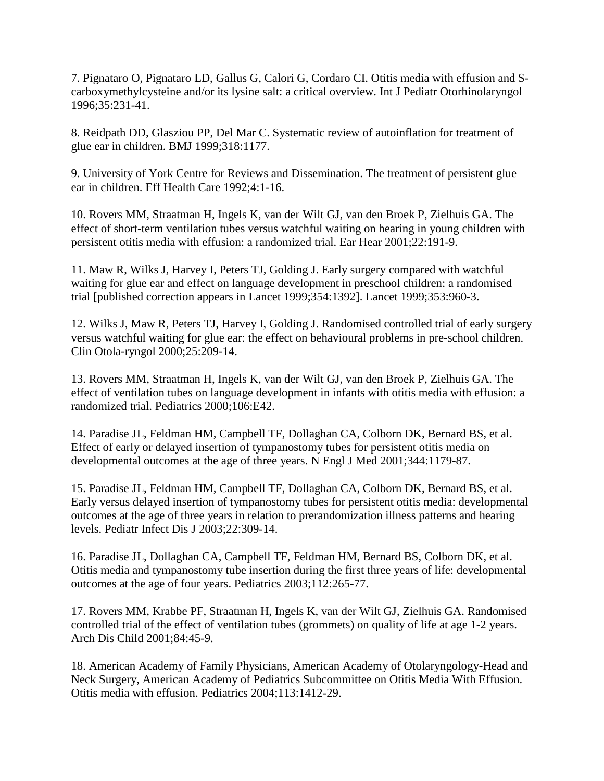7. Pignataro O, Pignataro LD, Gallus G, Calori G, Cordaro CI. Otitis media with effusion and Scarboxymethylcysteine and/or its lysine salt: a critical overview. Int J Pediatr Otorhinolaryngol 1996;35:231-41.

8. Reidpath DD, Glasziou PP, Del Mar C. Systematic review of autoinflation for treatment of glue ear in children. BMJ 1999;318:1177.

9. University of York Centre for Reviews and Dissemination. The treatment of persistent glue ear in children. Eff Health Care 1992;4:1-16.

10. Rovers MM, Straatman H, Ingels K, van der Wilt GJ, van den Broek P, Zielhuis GA. The effect of short-term ventilation tubes versus watchful waiting on hearing in young children with persistent otitis media with effusion: a randomized trial. Ear Hear 2001;22:191-9.

11. Maw R, Wilks J, Harvey I, Peters TJ, Golding J. Early surgery compared with watchful waiting for glue ear and effect on language development in preschool children: a randomised trial [published correction appears in Lancet 1999;354:1392]. Lancet 1999;353:960-3.

12. Wilks J, Maw R, Peters TJ, Harvey I, Golding J. Randomised controlled trial of early surgery versus watchful waiting for glue ear: the effect on behavioural problems in pre-school children. Clin Otola-ryngol 2000;25:209-14.

13. Rovers MM, Straatman H, Ingels K, van der Wilt GJ, van den Broek P, Zielhuis GA. The effect of ventilation tubes on language development in infants with otitis media with effusion: a randomized trial. Pediatrics 2000;106:E42.

14. Paradise JL, Feldman HM, Campbell TF, Dollaghan CA, Colborn DK, Bernard BS, et al. Effect of early or delayed insertion of tympanostomy tubes for persistent otitis media on developmental outcomes at the age of three years. N Engl J Med 2001;344:1179-87.

15. Paradise JL, Feldman HM, Campbell TF, Dollaghan CA, Colborn DK, Bernard BS, et al. Early versus delayed insertion of tympanostomy tubes for persistent otitis media: developmental outcomes at the age of three years in relation to prerandomization illness patterns and hearing levels. Pediatr Infect Dis J 2003;22:309-14.

16. Paradise JL, Dollaghan CA, Campbell TF, Feldman HM, Bernard BS, Colborn DK, et al. Otitis media and tympanostomy tube insertion during the first three years of life: developmental outcomes at the age of four years. Pediatrics 2003;112:265-77.

17. Rovers MM, Krabbe PF, Straatman H, Ingels K, van der Wilt GJ, Zielhuis GA. Randomised controlled trial of the effect of ventilation tubes (grommets) on quality of life at age 1-2 years. Arch Dis Child 2001;84:45-9.

18. American Academy of Family Physicians, American Academy of Otolaryngology-Head and Neck Surgery, American Academy of Pediatrics Subcommittee on Otitis Media With Effusion. Otitis media with effusion. Pediatrics 2004;113:1412-29.